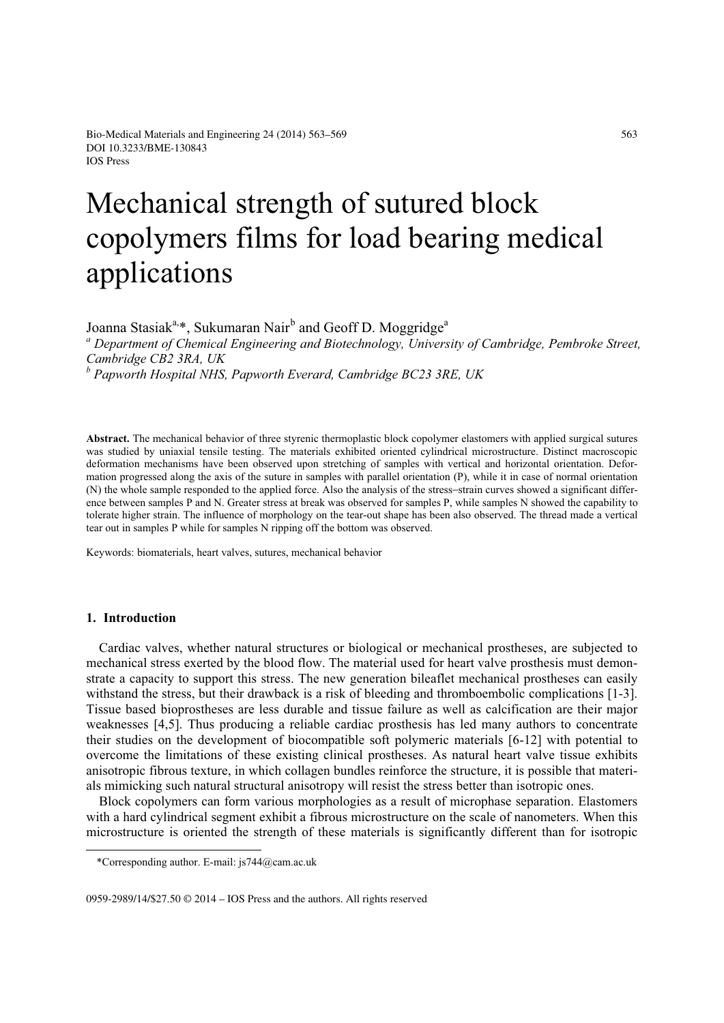# Mechanical strength of sutured block copolymers films for load bearing medical applications

Joanna Stasiak<sup>a,\*</sup>, Sukumaran Nair<sup>b</sup> and Geoff D. Moggridge<sup>a</sup>

*a Department of Chemical Engineering and Biotechnology, University of Cambridge, Pembroke Street, Cambridge CB2 3RA, UK* 

*b Papworth Hospital NHS, Papworth Everard, Cambridge BC23 3RE, UK* 

**Abstract.** The mechanical behavior of three styrenic thermoplastic block copolymer elastomers with applied surgical sutures was studied by uniaxial tensile testing. The materials exhibited oriented cylindrical microstructure. Distinct macroscopic deformation mechanisms have been observed upon stretching of samples with vertical and horizontal orientation. Deformation progressed along the axis of the suture in samples with parallel orientation (P), while it in case of normal orientation (N) the whole sample responded to the applied force. Also the analysis of the stress−strain curves showed a significant difference between samples P and N. Greater stress at break was observed for samples P, while samples N showed the capability to tolerate higher strain. The influence of morphology on the tear-out shape has been also observed. The thread made a vertical tear out in samples P while for samples N ripping off the bottom was observed.

Keywords: biomaterials, heart valves, sutures, mechanical behavior

#### **1. Introduction**

<u>.</u>

Cardiac valves, whether natural structures or biological or mechanical prostheses, are subjected to mechanical stress exerted by the blood flow. The material used for heart valve prosthesis must demonstrate a capacity to support this stress. The new generation bileaflet mechanical prostheses can easily withstand the stress, but their drawback is a risk of bleeding and thromboembolic complications [1-3]. Tissue based bioprostheses are less durable and tissue failure as well as calcification are their major weaknesses [4,5]. Thus producing a reliable cardiac prosthesis has led many authors to concentrate their studies on the development of biocompatible soft polymeric materials [6-12] with potential to overcome the limitations of these existing clinical prostheses. As natural heart valve tissue exhibits anisotropic fibrous texture, in which collagen bundles reinforce the structure, it is possible that materials mimicking such natural structural anisotropy will resist the stress better than isotropic ones.

Block copolymers can form various morphologies as a result of microphase separation. Elastomers with a hard cylindrical segment exhibit a fibrous microstructure on the scale of nanometers. When this microstructure is oriented the strength of these materials is significantly different than for isotropic

0959-2989/14/\$27.50 © 2014 – IOS Press and the authors. All rights reserved

<sup>\*</sup>Corresponding author. E-mail: js744@cam.ac.uk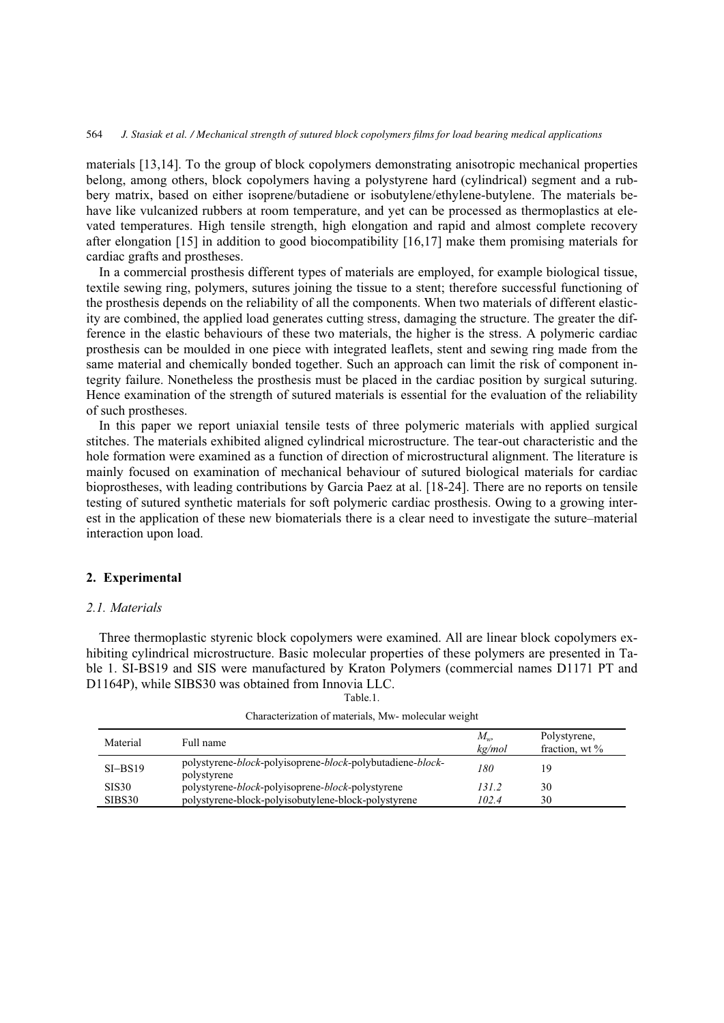materials [13,14]. To the group of block copolymers demonstrating anisotropic mechanical properties belong, among others, block copolymers having a polystyrene hard (cylindrical) segment and a rubbery matrix, based on either isoprene/butadiene or isobutylene/ethylene-butylene. The materials behave like vulcanized rubbers at room temperature, and yet can be processed as thermoplastics at elevated temperatures. High tensile strength, high elongation and rapid and almost complete recovery after elongation [15] in addition to good biocompatibility [16,17] make them promising materials for cardiac grafts and prostheses.

In a commercial prosthesis different types of materials are employed, for example biological tissue, textile sewing ring, polymers, sutures joining the tissue to a stent; therefore successful functioning of the prosthesis depends on the reliability of all the components. When two materials of different elasticity are combined, the applied load generates cutting stress, damaging the structure. The greater the difference in the elastic behaviours of these two materials, the higher is the stress. A polymeric cardiac prosthesis can be moulded in one piece with integrated leaflets, stent and sewing ring made from the same material and chemically bonded together. Such an approach can limit the risk of component integrity failure. Nonetheless the prosthesis must be placed in the cardiac position by surgical suturing. Hence examination of the strength of sutured materials is essential for the evaluation of the reliability of such prostheses.

In this paper we report uniaxial tensile tests of three polymeric materials with applied surgical stitches. The materials exhibited aligned cylindrical microstructure. The tear-out characteristic and the hole formation were examined as a function of direction of microstructural alignment. The literature is mainly focused on examination of mechanical behaviour of sutured biological materials for cardiac bioprostheses, with leading contributions by Garcia Paez at al. [18-24]. There are no reports on tensile testing of sutured synthetic materials for soft polymeric cardiac prosthesis. Owing to a growing interest in the application of these new biomaterials there is a clear need to investigate the suture–material interaction upon load.

### **2. Experimental**

#### *2.1. Materials*

Three thermoplastic styrenic block copolymers were examined. All are linear block copolymers exhibiting cylindrical microstructure. Basic molecular properties of these polymers are presented in Table 1. SI-BS19 and SIS were manufactured by Kraton Polymers (commercial names D1171 PT and D1164P), while SIBS30 was obtained from Innovia LLC.

| Fable.1 |  |
|---------|--|
|         |  |

| Material     | Full name                                                                                           | $M_{w}$<br>$k$ g/mol | Polystyrene.<br>fraction, wt $\%$ |
|--------------|-----------------------------------------------------------------------------------------------------|----------------------|-----------------------------------|
| $SI-BS19$    | polystyrene- <i>block</i> -polyisoprene- <i>block</i> -polybutadiene- <i>block</i> -<br>polystyrene | 180                  | 19                                |
| <b>SIS30</b> | polystyrene- <i>block</i> -polyisoprene- <i>block</i> -polystyrene                                  | 131.2                | 30                                |
| SIBS30       | polystyrene-block-polyisobutylene-block-polystyrene                                                 | 102.4                | 30                                |

| Characterization of materials, Mw- molecular weight |  |  |  |
|-----------------------------------------------------|--|--|--|
|                                                     |  |  |  |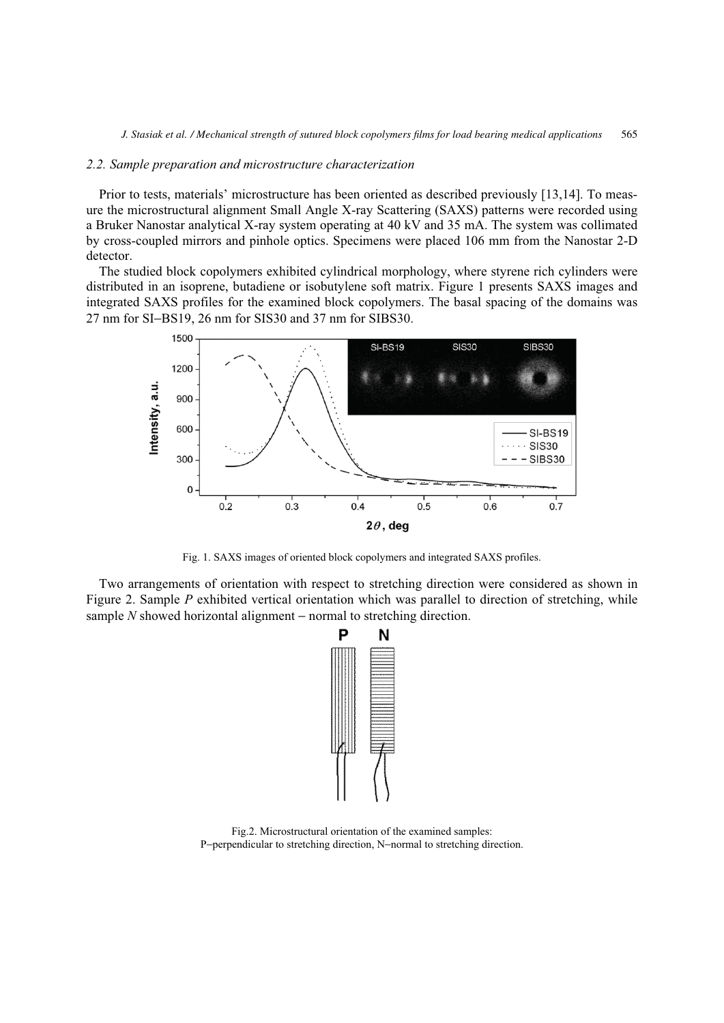#### *2.2. Sample preparation and microstructure characterization*

Prior to tests, materials' microstructure has been oriented as described previously [13,14]. To measure the microstructural alignment Small Angle X-ray Scattering (SAXS) patterns were recorded using a Bruker Nanostar analytical X-ray system operating at 40 kV and 35 mA. The system was collimated by cross-coupled mirrors and pinhole optics. Specimens were placed 106 mm from the Nanostar 2-D detector.

The studied block copolymers exhibited cylindrical morphology, where styrene rich cylinders were distributed in an isoprene, butadiene or isobutylene soft matrix. Figure 1 presents SAXS images and integrated SAXS profiles for the examined block copolymers. The basal spacing of the domains was 27 nm for SI–BS19, 26 nm for SIS30 and 37 nm for SIBS30.



Fig. 1. SAXS images of oriented block copolymers and integrated SAXS profiles.

Two arrangements of orientation with respect to stretching direction were considered as shown in Figure 2. Sample *P* exhibited vertical orientation which was parallel to direction of stretching, while sample *N* showed horizontal alignment – normal to stretching direction.



Fig.2. Microstructural orientation of the examined samples: P−perpendicular to stretching direction, N−normal to stretching direction.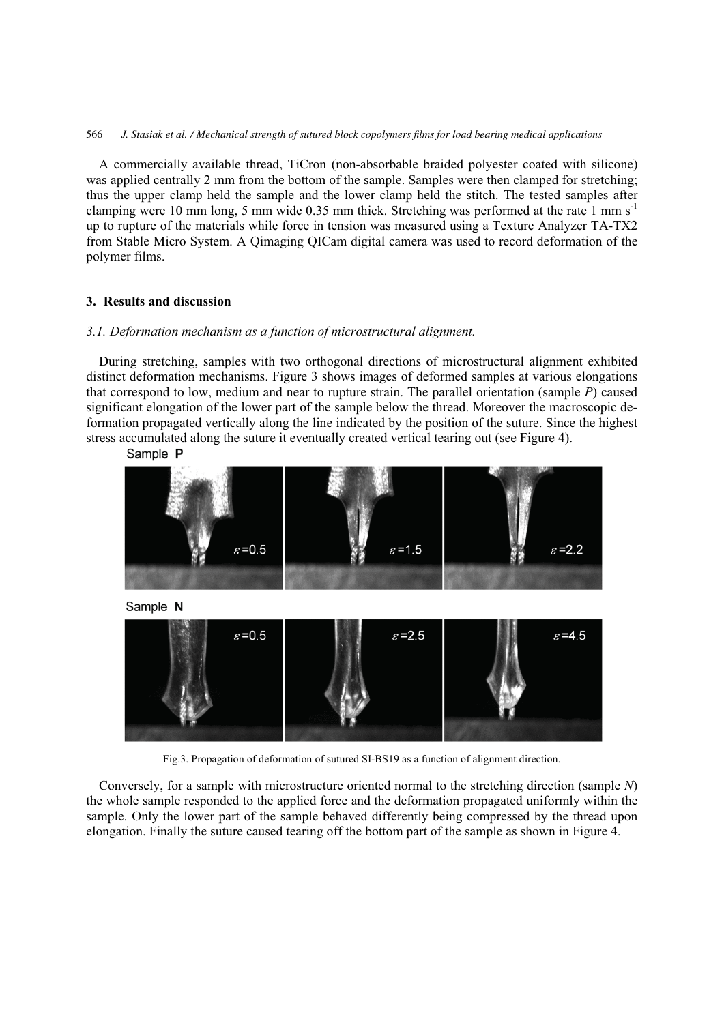566 *J. Stasiak et al. / Mechanical strength of sutured block copolymers films for load bearing medical applications*

A commercially available thread, TiCron (non-absorbable braided polyester coated with silicone) was applied centrally 2 mm from the bottom of the sample. Samples were then clamped for stretching; thus the upper clamp held the sample and the lower clamp held the stitch. The tested samples after clamping were 10 mm long, 5 mm wide 0.35 mm thick. Stretching was performed at the rate 1 mm  $s^{-1}$ up to rupture of the materials while force in tension was measured using a Texture Analyzer TA-TX2 from Stable Micro System. A Qimaging QICam digital camera was used to record deformation of the polymer films.

## **3. Results and discussion**

#### *3.1. Deformation mechanism as a function of microstructural alignment.*

During stretching, samples with two orthogonal directions of microstructural alignment exhibited distinct deformation mechanisms. Figure 3 shows images of deformed samples at various elongations that correspond to low, medium and near to rupture strain. The parallel orientation (sample *P*) caused significant elongation of the lower part of the sample below the thread. Moreover the macroscopic deformation propagated vertically along the line indicated by the position of the suture. Since the highest stress accumulated along the suture it eventually created vertical tearing out (see Figure 4).



Fig.3. Propagation of deformation of sutured SI-BS19 as a function of alignment direction.

Conversely, for a sample with microstructure oriented normal to the stretching direction (sample *N*) the whole sample responded to the applied force and the deformation propagated uniformly within the sample. Only the lower part of the sample behaved differently being compressed by the thread upon elongation. Finally the suture caused tearing off the bottom part of the sample as shown in Figure 4.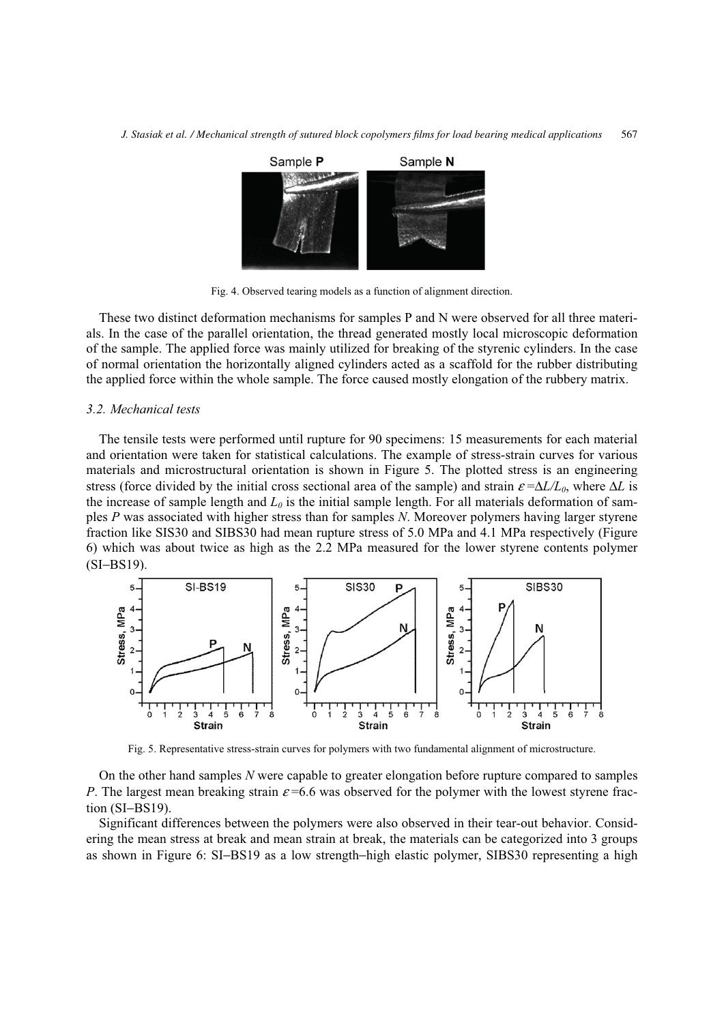

Fig. 4. Observed tearing models as a function of alignment direction.

These two distinct deformation mechanisms for samples P and N were observed for all three materials. In the case of the parallel orientation, the thread generated mostly local microscopic deformation of the sample. The applied force was mainly utilized for breaking of the styrenic cylinders. In the case of normal orientation the horizontally aligned cylinders acted as a scaffold for the rubber distributing the applied force within the whole sample. The force caused mostly elongation of the rubbery matrix.

#### *3.2. Mechanical tests*

The tensile tests were performed until rupture for 90 specimens: 15 measurements for each material and orientation were taken for statistical calculations. The example of stress-strain curves for various materials and microstructural orientation is shown in Figure 5. The plotted stress is an engineering stress (force divided by the initial cross sectional area of the sample) and strain  $\varepsilon = \Delta L/L_0$ , where  $\Delta L$  is the increase of sample length and  $L_0$  is the initial sample length. For all materials deformation of samples *P* was associated with higher stress than for samples *N*. Moreover polymers having larger styrene fraction like SIS30 and SIBS30 had mean rupture stress of 5.0 MPa and 4.1 MPa respectively (Figure 6) which was about twice as high as the 2.2 MPa measured for the lower styrene contents polymer (SI−BS19).



Fig. 5. Representative stress-strain curves for polymers with two fundamental alignment of microstructure.

On the other hand samples *N* were capable to greater elongation before rupture compared to samples *P*. The largest mean breaking strain  $\varepsilon$  =6.6 was observed for the polymer with the lowest styrene fraction (SI−BS19).

Significant differences between the polymers were also observed in their tear-out behavior. Considering the mean stress at break and mean strain at break, the materials can be categorized into 3 groups as shown in Figure 6: SI−BS19 as a low strength−high elastic polymer, SIBS30 representing a high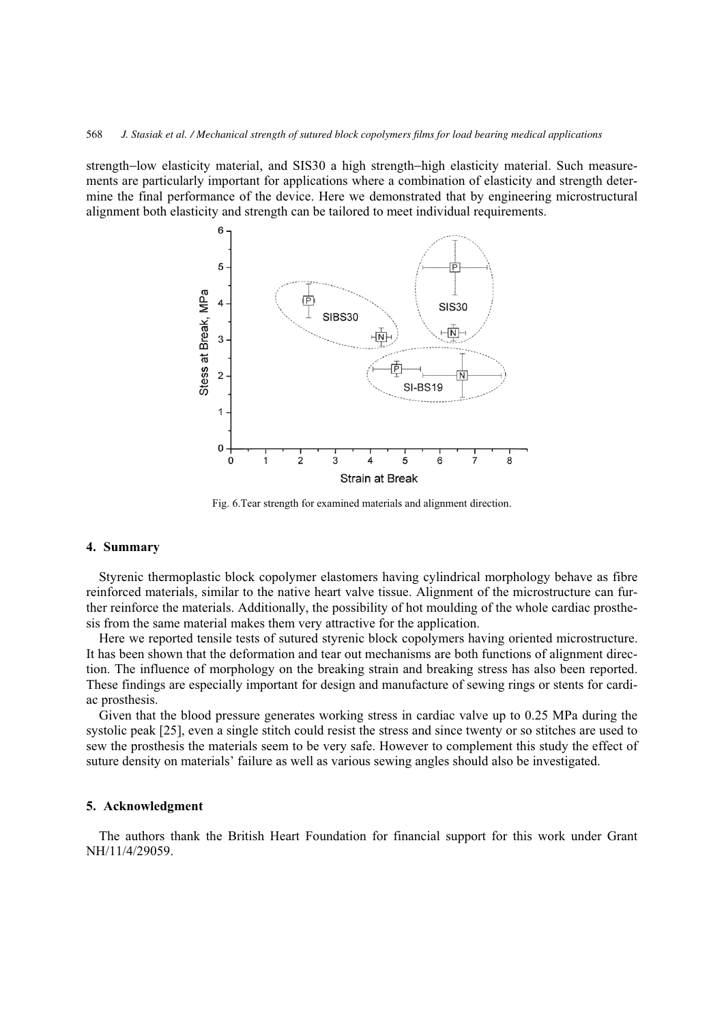strength−low elasticity material, and SIS30 a high strength−high elasticity material. Such measurements are particularly important for applications where a combination of elasticity and strength determine the final performance of the device. Here we demonstrated that by engineering microstructural alignment both elasticity and strength can be tailored to meet individual requirements.



Fig. 6.Tear strength for examined materials and alignment direction.

### **4. Summary**

Styrenic thermoplastic block copolymer elastomers having cylindrical morphology behave as fibre reinforced materials, similar to the native heart valve tissue. Alignment of the microstructure can further reinforce the materials. Additionally, the possibility of hot moulding of the whole cardiac prosthesis from the same material makes them very attractive for the application.

Here we reported tensile tests of sutured styrenic block copolymers having oriented microstructure. It has been shown that the deformation and tear out mechanisms are both functions of alignment direction. The influence of morphology on the breaking strain and breaking stress has also been reported. These findings are especially important for design and manufacture of sewing rings or stents for cardiac prosthesis.

Given that the blood pressure generates working stress in cardiac valve up to 0.25 MPa during the systolic peak [25], even a single stitch could resist the stress and since twenty or so stitches are used to sew the prosthesis the materials seem to be very safe. However to complement this study the effect of suture density on materials' failure as well as various sewing angles should also be investigated.

### **5. Acknowledgment**

The authors thank the British Heart Foundation for financial support for this work under Grant NH/11/4/29059.